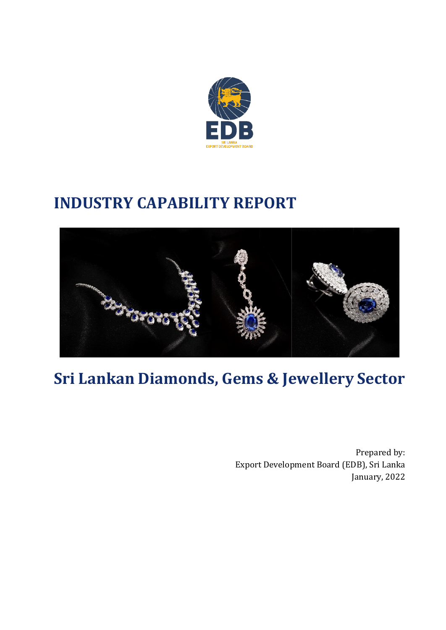

# **INDUSTRY CAPABILITY REPORT**



# **Sri Lankan Diamonds, Gems & Jewellery Sector**

Prepared by: Export Development Board (EDB), Sri Lanka January, 2022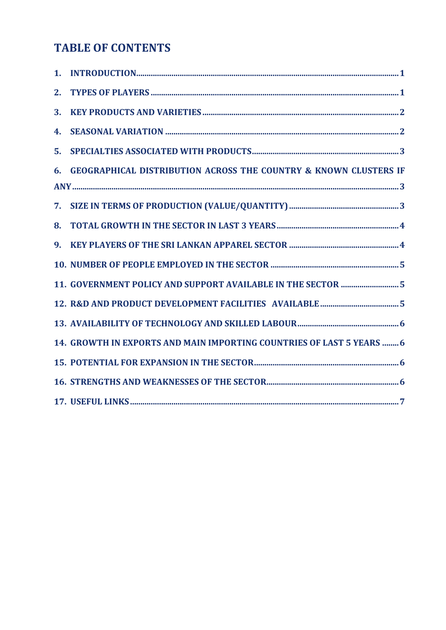# **TABLE OF CONTENTS**

| 2. |                                                                             |
|----|-----------------------------------------------------------------------------|
| 3. |                                                                             |
| 4. |                                                                             |
| 5. |                                                                             |
| 6. | <b>GEOGRAPHICAL DISTRIBUTION ACROSS THE COUNTRY &amp; KNOWN CLUSTERS IF</b> |
|    |                                                                             |
|    |                                                                             |
| 8. |                                                                             |
| 9. |                                                                             |
|    |                                                                             |
|    | 11. GOVERNMENT POLICY AND SUPPORT AVAILABLE IN THE SECTOR  5                |
|    |                                                                             |
|    |                                                                             |
|    | 14. GROWTH IN EXPORTS AND MAIN IMPORTING COUNTRIES OF LAST 5 YEARS  6       |
|    |                                                                             |
|    |                                                                             |
|    |                                                                             |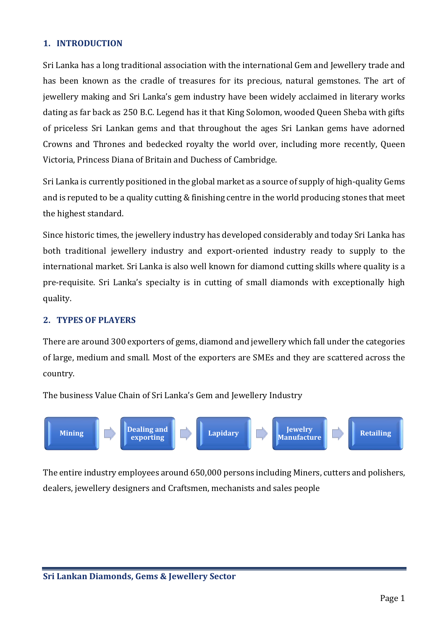# <span id="page-2-0"></span>**1. INTRODUCTION**

Sri Lanka has a long traditional association with the international Gem and Jewellery trade and has been known as the cradle of treasures for its precious, natural gemstones. The art of jewellery making and Sri Lanka's gem industry have been widely acclaimed in literary works dating as far back as 250 B.C. Legend has it that King Solomon, wooded Queen Sheba with gifts of priceless Sri Lankan gems and that throughout the ages Sri Lankan gems have adorned Crowns and Thrones and bedecked royalty the world over, including more recently, Queen Victoria, Princess Diana of Britain and Duchess of Cambridge.

Sri Lanka is currently positioned in the global market as a source of supply of high-quality Gems and is reputed to be a quality cutting & finishing centre in the world producing stones that meet the highest standard.

Since historic times, the jewellery industry has developed considerably and today Sri Lanka has both traditional jewellery industry and export-oriented industry ready to supply to the international market. Sri Lanka is also well known for diamond cutting skills where quality is a pre-requisite. Sri Lanka's specialty is in cutting of small diamonds with exceptionally high quality.

#### <span id="page-2-1"></span>**2. TYPES OF PLAYERS**

There are around 300 exporters of gems, diamond and jewellery which fall under the categories of large, medium and small. Most of the exporters are SMEs and they are scattered across the country.

The business Value Chain of Sri Lanka's Gem and Jewellery Industry



The entire industry employees around 650,000 persons including Miners, cutters and polishers, dealers, jewellery designers and Craftsmen, mechanists and sales people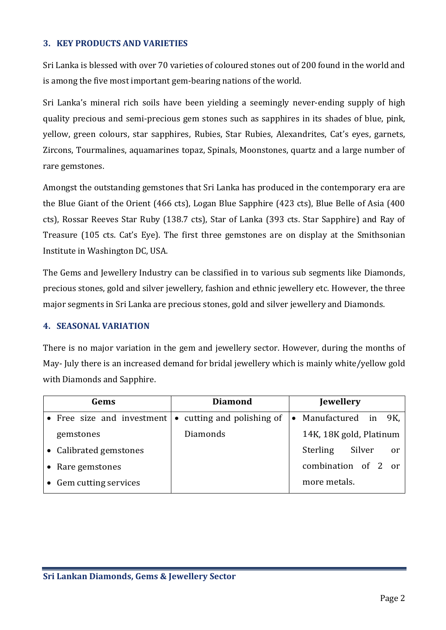# <span id="page-3-0"></span>**3. KEY PRODUCTS AND VARIETIES**

Sri Lanka is blessed with over 70 varieties of coloured stones out of 200 found in the world and is among the five most important gem‐bearing nations of the world.

Sri Lanka's mineral rich soils have been yielding a seemingly never-ending supply of high quality precious and semi-precious gem stones such as sapphires in its shades of blue, pink, yellow, green colours, star sapphires, Rubies, Star Rubies, Alexandrites, Cat's eyes, garnets, Zircons, Tourmalines, aquamarines topaz, Spinals, Moonstones, quartz and a large number of rare gemstones.

Amongst the outstanding gemstones that Sri Lanka has produced in the contemporary era are the Blue Giant of the Orient (466 cts), Logan Blue Sapphire (423 cts), Blue Belle of Asia (400 cts), Rossar Reeves Star Ruby (138.7 cts), Star of Lanka (393 cts. Star Sapphire) and Ray of Treasure (105 cts. Cat's Eye). The first three gemstones are on display at the Smithsonian Institute in Washington DC, USA.

The Gems and Jewellery Industry can be classified in to various sub segments like Diamonds, precious stones, gold and silver jewellery, fashion and ethnic jewellery etc. However, the three major segments in Sri Lanka are precious stones, gold and silver jewellery and Diamonds.

#### <span id="page-3-1"></span>**4. SEASONAL VARIATION**

There is no major variation in the gem and jewellery sector. However, during the months of May‐ July there is an increased demand for bridal jewellery which is mainly white/yellow gold with Diamonds and Sapphire.

| Gems |                                                               | <b>Diamond</b> |          | <b>Jewellery</b> |                                 |  |
|------|---------------------------------------------------------------|----------------|----------|------------------|---------------------------------|--|
|      | • Free size and investment $\bullet$ cutting and polishing of |                |          | $\bullet$        | Manufactured in 9K,             |  |
|      | gemstones                                                     |                | Diamonds |                  | 14K, 18K gold, Platinum         |  |
|      | • Calibrated gemstones                                        |                |          |                  | <b>Sterling</b><br>Silver<br>0r |  |
|      | • Rare gemstones                                              |                |          |                  | combination of 2 or             |  |
|      | • Gem cutting services                                        |                |          |                  | more metals.                    |  |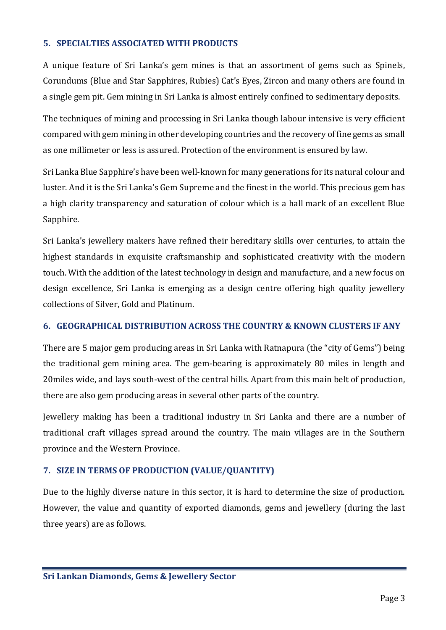#### <span id="page-4-0"></span>**5. SPECIALTIES ASSOCIATED WITH PRODUCTS**

A unique feature of Sri Lanka's gem mines is that an assortment of gems such as Spinels, Corundums (Blue and Star Sapphires, Rubies) Cat's Eyes, Zircon and many others are found in a single gem pit. Gem mining in Sri Lanka is almost entirely confined to sedimentary deposits.

The techniques of mining and processing in Sri Lanka though labour intensive is very efficient compared with gem mining in other developing countries and the recovery of fine gems as small as one millimeter or less is assured. Protection of the environment is ensured by law.

Sri Lanka Blue Sapphire's have been well‐known for many generations for its natural colour and luster. And it is the Sri Lanka's Gem Supreme and the finest in the world. This precious gem has a high clarity transparency and saturation of colour which is a hall mark of an excellent Blue Sapphire.

Sri Lanka's jewellery makers have refined their hereditary skills over centuries, to attain the highest standards in exquisite craftsmanship and sophisticated creativity with the modern touch. With the addition of the latest technology in design and manufacture, and a new focus on design excellence, Sri Lanka is emerging as a design centre offering high quality jewellery collections of Silver, Gold and Platinum.

#### <span id="page-4-1"></span>**6. GEOGRAPHICAL DISTRIBUTION ACROSS THE COUNTRY & KNOWN CLUSTERS IF ANY**

There are 5 major gem producing areas in Sri Lanka with Ratnapura (the "city of Gems") being the traditional gem mining area. The gem‐bearing is approximately 80 miles in length and 20miles wide, and lays south‐west of the central hills. Apart from this main belt of production, there are also gem producing areas in several other parts of the country.

Jewellery making has been a traditional industry in Sri Lanka and there are a number of traditional craft villages spread around the country. The main villages are in the Southern province and the Western Province.

# <span id="page-4-2"></span>**7. SIZE IN TERMS OF PRODUCTION (VALUE/QUANTITY)**

Due to the highly diverse nature in this sector, it is hard to determine the size of production. However, the value and quantity of exported diamonds, gems and jewellery (during the last three years) are as follows.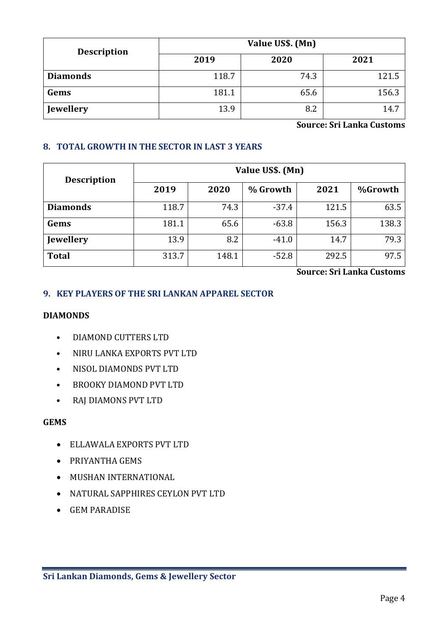| <b>Description</b> | Value US\$. (Mn) |      |                |  |  |  |
|--------------------|------------------|------|----------------|--|--|--|
|                    | 2019             | 2020 | 2021           |  |  |  |
| <b>Diamonds</b>    | 118.7            | 74.3 | 121.5          |  |  |  |
| Gems               | 181.1            | 65.6 | 156.3          |  |  |  |
| <b>Jewellery</b>   | 13.9             | 8.2  | $\overline{4}$ |  |  |  |

**Source: Sri Lanka Customs**

# <span id="page-5-0"></span>**8. TOTAL GROWTH IN THE SECTOR IN LAST 3 YEARS**

| <b>Description</b> | Value US\$. (Mn) |       |          |       |         |  |  |
|--------------------|------------------|-------|----------|-------|---------|--|--|
|                    | 2019             | 2020  | % Growth | 2021  | %Growth |  |  |
| <b>Diamonds</b>    | 118.7            | 74.3  | $-37.4$  | 121.5 | 63.5    |  |  |
| Gems               | 181.1            | 65.6  | $-63.8$  | 156.3 | 138.3   |  |  |
| <b>Jewellery</b>   | 13.9             | 8.2   | $-41.0$  | 14.7  | 79.3    |  |  |
| <b>Total</b>       | 313.7            | 148.1 | $-52.8$  | 292.5 | 97.5    |  |  |

**Source: Sri Lanka Customs**

# <span id="page-5-1"></span>**9. KEY PLAYERS OF THE SRI LANKAN APPAREL SECTOR**

#### **DIAMONDS**

- DIAMOND CUTTERS LTD
- NIRU LANKA EXPORTS PVT LTD
- NISOL DIAMONDS PVT LTD
- BROOKY DIAMOND PVT LTD
- RAJ DIAMONS PVT LTD

#### **GEMS**

- ELLAWALA EXPORTS PVT LTD
- PRIYANTHA GEMS
- MUSHAN INTERNATIONAL
- NATURAL SAPPHIRES CEYLON PVT LTD
- GEM PARADISE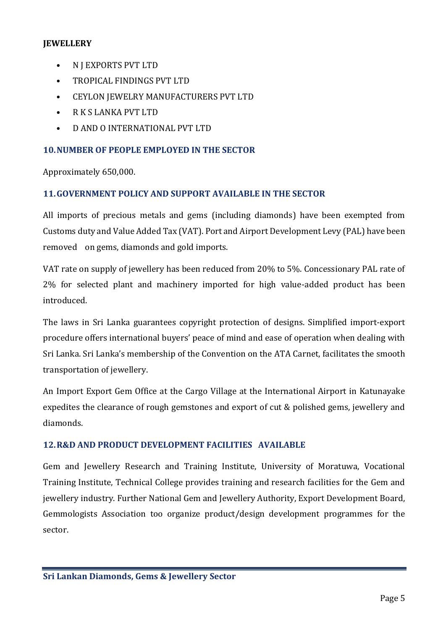# **JEWELLERY**

- N J EXPORTS PVT LTD
- TROPICAL FINDINGS PVT LTD
- CEYLON JEWELRY MANUFACTURERS PVT LTD
- R K S LANKA PVT LTD
- D AND O INTERNATIONAL PVT LTD

# <span id="page-6-0"></span>**10.NUMBER OF PEOPLE EMPLOYED IN THE SECTOR**

Approximately 650,000.

# <span id="page-6-1"></span>**11.GOVERNMENT POLICY AND SUPPORT AVAILABLE IN THE SECTOR**

All imports of precious metals and gems (including diamonds) have been exempted from Customs duty and Value Added Tax (VAT). Port and Airport Development Levy (PAL) have been removed on gems, diamonds and gold imports.

VAT rate on supply of jewellery has been reduced from 20% to 5%. Concessionary PAL rate of 2% for selected plant and machinery imported for high value-added product has been introduced.

The laws in Sri Lanka guarantees copyright protection of designs. Simplified import‐export procedure offers international buyers' peace of mind and ease of operation when dealing with Sri Lanka. Sri Lanka's membership of the Convention on the ATA Carnet, facilitates the smooth transportation of jewellery.

An Import Export Gem Office at the Cargo Village at the International Airport in Katunayake expedites the clearance of rough gemstones and export of cut & polished gems, jewellery and diamonds.

# <span id="page-6-2"></span>**12.R&D AND PRODUCT DEVELOPMENT FACILITIES AVAILABLE**

Gem and Jewellery Research and Training Institute, University of Moratuwa, Vocational Training Institute, Technical College provides training and research facilities for the Gem and jewellery industry. Further National Gem and Jewellery Authority, Export Development Board, Gemmologists Association too organize product/design development programmes for the sector.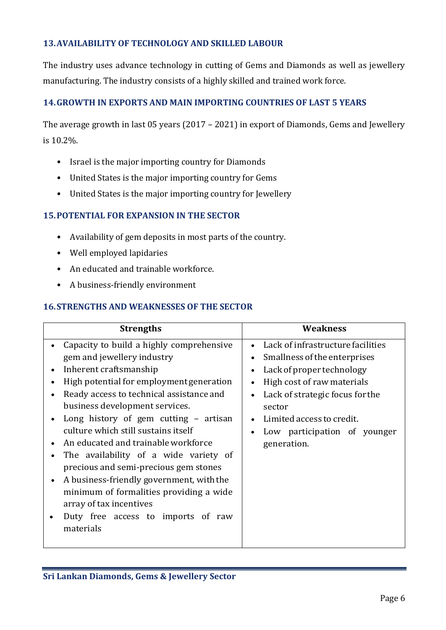# <span id="page-7-0"></span>**13.AVAILABILITY OF TECHNOLOGY AND SKILLED LABOUR**

The industry uses advance technology in cutting of Gems and Diamonds as well as jewellery manufacturing. The industry consists of a highly skilled and trained work force.

# <span id="page-7-1"></span>**14.GROWTH IN EXPORTS AND MAIN IMPORTING COUNTRIES OF LAST 5 YEARS**

The average growth in last 05 years (2017 – 2021) in export of Diamonds, Gems and Jewellery is 10.2%.

- Israel is the major importing country for Diamonds
- United States is the major importing country for Gems
- United States is the major importing country for Jewellery

#### <span id="page-7-2"></span>**15.POTENTIAL FOR EXPANSION IN THE SECTOR**

- Availability of gem deposits in most parts of the country.
- Well employed lapidaries
- An educated and trainable workforce.
- A business-friendly environment

#### <span id="page-7-3"></span>**16.STRENGTHS AND WEAKNESSES OF THE SECTOR**

| <b>Strengths</b>                                                                                                                                                                                                                                                                                                                                                                                                                                                                                                                                                                                         | <b>Weakness</b>                                                                                                                                                                                                                                                                 |
|----------------------------------------------------------------------------------------------------------------------------------------------------------------------------------------------------------------------------------------------------------------------------------------------------------------------------------------------------------------------------------------------------------------------------------------------------------------------------------------------------------------------------------------------------------------------------------------------------------|---------------------------------------------------------------------------------------------------------------------------------------------------------------------------------------------------------------------------------------------------------------------------------|
| Capacity to build a highly comprehensive<br>gem and jewellery industry<br>Inherent craftsmanship<br>High potential for employment generation<br>Ready access to technical assistance and<br>business development services.<br>Long history of gem cutting - artisan<br>culture which still sustains itself<br>An educated and trainable workforce<br>The availability of a wide variety of<br>precious and semi-precious gem stones<br>A business-friendly government, with the<br>minimum of formalities providing a wide<br>array of tax incentives<br>Duty free access to imports of raw<br>materials | Lack of infrastructure facilities<br>$\bullet$<br>Smallness of the enterprises<br>$\bullet$<br>Lack of proper technology<br>High cost of raw materials<br>Lack of strategic focus for the<br>sector<br>Limited access to credit.<br>Low participation of younger<br>generation. |